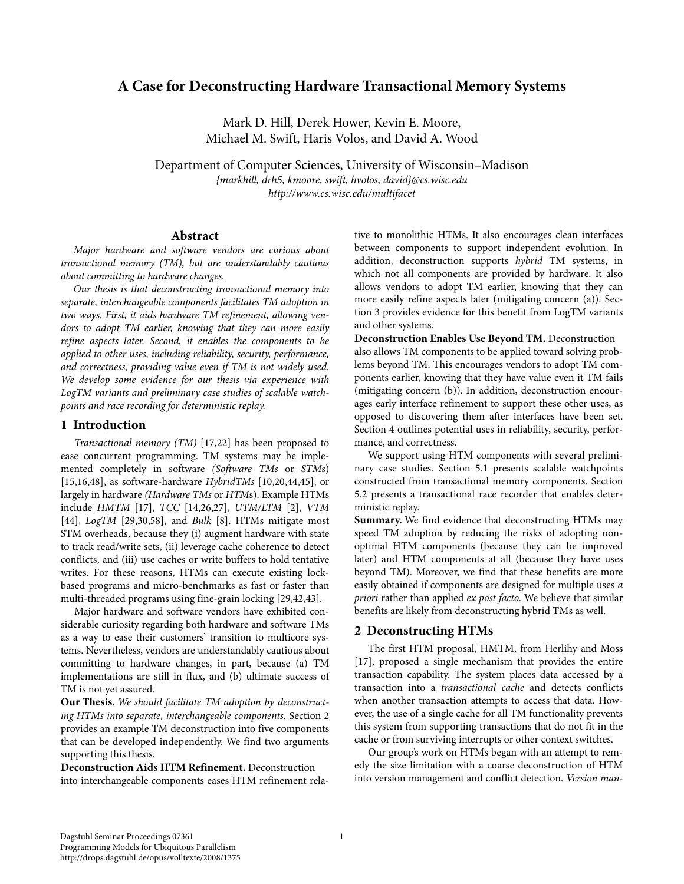# **A Case for Deconstructing Hardware Transactional Memory Systems**

Mark D. Hill, Derek Hower, Kevin E. Moore, Michael M. Swift, Haris Volos, and David A. Wood

Department of Computer Sciences, University of Wisconsin–Madison *{markhill, drh5, kmoore, swift, hvolos, david}@cs.wisc.edu http://www.cs.wisc.edu/multifacet*

#### **Abstract**

*Major hardware and software vendors are curious about transactional memory (TM), but are understandably cautious about committing to hardware changes.*

*Our thesis is that deconstructing transactional memory into separate, interchangeable components facilitates TM adoption in two ways. First, it aids hardware TM refinement, allowing vendors to adopt TM earlier, knowing that they can more easily refine aspects later. Second, it enables the components to be applied to other uses, including reliability, security, performance, and correctness, providing value even if TM is not widely used. We develop some evidence for our thesis via experience with LogTM variants and preliminary case studies of scalable watchpoints and race recording for deterministic replay.*

#### **1 Introduction**

*Transactional memory (TM)* [17,22] has been proposed to ease concurrent programming. TM systems may be implemented completely in software *(Software TMs* or *STM*s) [15,16,48], as software-hardware *HybridTMs* [10,20,44,45], or largely in hardware *(Hardware TMs* or *HTM*s). Example HTMs include *HMTM* [17], *TCC* [14,26,27], *UTM/LTM* [2], *VTM* [44], *LogTM* [29,30,58], and *Bulk* [8]. HTMs mitigate most STM overheads, because they (i) augment hardware with state to track read/write sets, (ii) leverage cache coherence to detect conflicts, and (iii) use caches or write buffers to hold tentative writes. For these reasons, HTMs can execute existing lockbased programs and micro-benchmarks as fast or faster than multi-threaded programs using fine-grain locking [29,42,43].

Major hardware and software vendors have exhibited considerable curiosity regarding both hardware and software TMs as a way to ease their customers' transition to multicore systems. Nevertheless, vendors are understandably cautious about committing to hardware changes, in part, because (a) TM implementations are still in flux, and (b) ultimate success of TM is not yet assured.

**Our Thesis.** *We should facilitate TM adoption by deconstructing HTMs into separate, interchangeable components.* [Section 2](#page-0-0) provides an example TM deconstruction into five components that can be developed independently. We find two arguments supporting this thesis.

**Deconstruction Aids HTM Refinement.** Deconstruction into interchangeable components eases HTM refinement rela-

tive to monolithic HTMs. It also encourages clean interfaces between components to support independent evolution. In addition, deconstruction supports *hybrid* TM systems, in which not all components are provided by hardware. It also allows vendors to adopt TM earlier, knowing that they can more easily refine aspects later (mitigating concern (a)). [Sec](#page-1-0)[tion 3](#page-1-0) provides evidence for this benefit from LogTM variants and other systems.

**Deconstruction Enables Use Beyond TM.** Deconstruction also allows TM components to be applied toward solving problems beyond TM. This encourages vendors to adopt TM components earlier, knowing that they have value even it TM fails (mitigating concern (b)). In addition, deconstruction encourages early interface refinement to support these other uses, as opposed to discovering them after interfaces have been set. [Section 4](#page-2-0) outlines potential uses in reliability, security, performance, and correctness.

We support using HTM components with several preliminary case studies. [Section 5.1](#page-4-0) presents scalable watchpoints constructed from transactional memory components. [Section](#page-5-0)  [5.2](#page-5-0) presents a transactional race recorder that enables deterministic replay.

**Summary.** We find evidence that deconstructing HTMs may speed TM adoption by reducing the risks of adopting nonoptimal HTM components (because they can be improved later) and HTM components at all (because they have uses beyond TM). Moreover, we find that these benefits are more easily obtained if components are designed for multiple uses *a priori* rather than applied *ex post facto*. We believe that similar benefits are likely from deconstructing hybrid TMs as well.

## <span id="page-0-0"></span>**2 Deconstructing HTMs**

The first HTM proposal, HMTM, from Herlihy and Moss [17], proposed a single mechanism that provides the entire transaction capability. The system places data accessed by a transaction into a *transactional cache* and detects conflicts when another transaction attempts to access that data. However, the use of a single cache for all TM functionality prevents this system from supporting transactions that do not fit in the cache or from surviving interrupts or other context switches.

Our group's work on HTMs began with an attempt to remedy the size limitation with a coarse deconstruction of HTM into version management and conflict detection. *Version man-*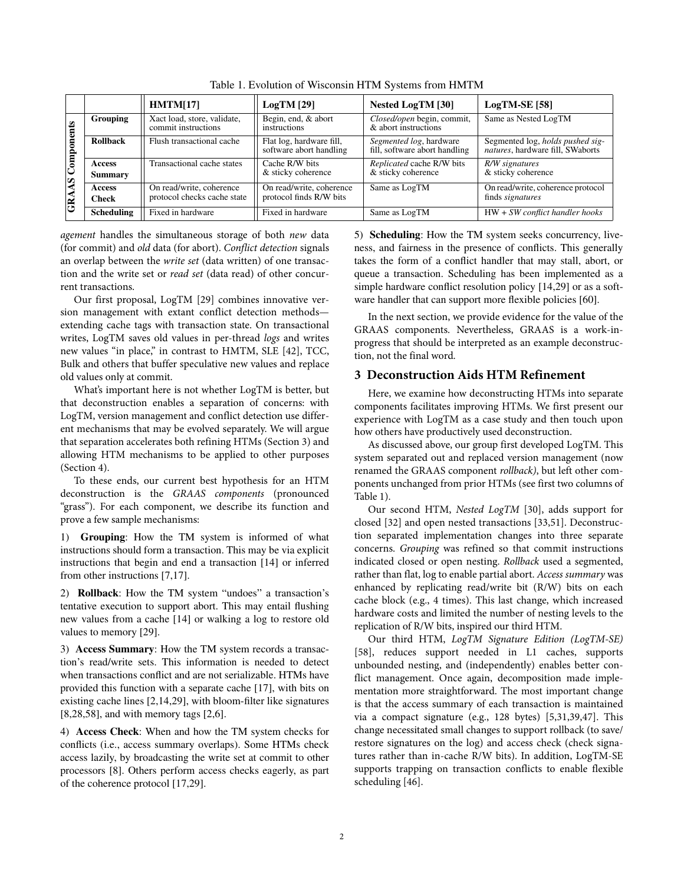<span id="page-1-1"></span>

|                         |                                 | HMTM[17]                                                | $LogTM$ [29]                                        | Nested LogTM [30]                                        | $LogTM-SE$ [58]                                                      |  |
|-------------------------|---------------------------------|---------------------------------------------------------|-----------------------------------------------------|----------------------------------------------------------|----------------------------------------------------------------------|--|
| <b>GRAAS</b> Components | <b>Grouping</b>                 | Xact load, store, validate,<br>commit instructions      | Begin, end, & abort<br>instructions                 | Closed/open begin, commit,<br>& abort instructions       | Same as Nested LogTM                                                 |  |
|                         | <b>Rollback</b>                 | Flush transactional cache                               | Flat log, hardware fill,<br>software abort handling | Segmented log, hardware<br>fill, software abort handling | Segmented log, holds pushed sig-<br>natures, hardware fill, SWaborts |  |
|                         | <b>Access</b><br><b>Summary</b> | Transactional cache states                              | Cache R/W bits<br>& sticky coherence                | Replicated cache R/W bits<br>& sticky coherence          | R/W signatures<br>& sticky coherence                                 |  |
|                         | <b>Access</b><br><b>Check</b>   | On read/write, coherence<br>protocol checks cache state | On read/write, coherence<br>protocol finds R/W bits | Same as LogTM                                            | On read/write, coherence protocol<br>finds <i>signatures</i>         |  |
|                         | <b>Scheduling</b>               | Fixed in hardware                                       | Fixed in hardware                                   | Same as LogTM                                            | HW + SW conflict handler hooks                                       |  |

Table 1. Evolution of Wisconsin HTM Systems from HMTM

*agement* handles the simultaneous storage of both *new* data (for commit) and *old* data (for abort). *Conflict detection* signals an overlap between the *write set* (data written) of one transaction and the write set or *read set* (data read) of other concurrent transactions.

Our first proposal, LogTM [29] combines innovative version management with extant conflict detection methods extending cache tags with transaction state. On transactional writes, LogTM saves old values in per-thread *logs* and writes new values "in place," in contrast to HMTM, SLE [42], TCC, Bulk and others that buffer speculative new values and replace old values only at commit.

What's important here is not whether LogTM is better, but that deconstruction enables a separation of concerns: with LogTM, version management and conflict detection use different mechanisms that may be evolved separately. We will argue that separation accelerates both refining HTMs ([Section 3\)](#page-1-0) and allowing HTM mechanisms to be applied to other purposes [\(Section 4\)](#page-2-0).

To these ends, our current best hypothesis for an HTM deconstruction is the *GRAAS components* (pronounced "grass"). For each component, we describe its function and prove a few sample mechanisms:

1) **Grouping**: How the TM system is informed of what instructions should form a transaction. This may be via explicit instructions that begin and end a transaction [14] or inferred from other instructions [7,17].

2) **Rollback**: How the TM system "undoes" a transaction's tentative execution to support abort. This may entail flushing new values from a cache [14] or walking a log to restore old values to memory [29].

3) **Access Summary**: How the TM system records a transaction's read/write sets. This information is needed to detect when transactions conflict and are not serializable. HTMs have provided this function with a separate cache [17], with bits on existing cache lines [2,14,29], with bloom-filter like signatures [8,28,58], and with memory tags [2,6].

4) **Access Check**: When and how the TM system checks for conflicts (i.e., access summary overlaps). Some HTMs check access lazily, by broadcasting the write set at commit to other processors [8]. Others perform access checks eagerly, as part of the coherence protocol [17,29].

5) **Scheduling**: How the TM system seeks concurrency, liveness, and fairness in the presence of conflicts. This generally takes the form of a conflict handler that may stall, abort, or queue a transaction. Scheduling has been implemented as a simple hardware conflict resolution policy [14,29] or as a software handler that can support more flexible policies [60].

In the next section, we provide evidence for the value of the GRAAS components. Nevertheless, GRAAS is a work-inprogress that should be interpreted as an example deconstruction, not the final word.

# <span id="page-1-0"></span>**3 Deconstruction Aids HTM Refinement**

Here, we examine how deconstructing HTMs into separate components facilitates improving HTMs. We first present our experience with LogTM as a case study and then touch upon how others have productively used deconstruction.

As discussed above, our group first developed LogTM. This system separated out and replaced version management (now renamed the GRAAS component *rollback)*, but left other components unchanged from prior HTMs (see first two columns of [Table](#page-1-1) 1).

Our second HTM, *Nested LogTM* [30], adds support for closed [32] and open nested transactions [33,51]. Deconstruction separated implementation changes into three separate concerns. *Grouping* was refined so that commit instructions indicated closed or open nesting. *Rollback* used a segmented, rather than flat, log to enable partial abort. *Access summary* was enhanced by replicating read/write bit (R/W) bits on each cache block (e.g., 4 times). This last change, which increased hardware costs and limited the number of nesting levels to the replication of R/W bits, inspired our third HTM.

Our third HTM, *LogTM Signature Edition (LogTM-SE)* [58], reduces support needed in L1 caches, supports unbounded nesting, and (independently) enables better conflict management. Once again, decomposition made implementation more straightforward. The most important change is that the access summary of each transaction is maintained via a compact signature (e.g., 128 bytes) [5,31,39,47]. This change necessitated small changes to support rollback (to save/ restore signatures on the log) and access check (check signatures rather than in-cache R/W bits). In addition, LogTM-SE supports trapping on transaction conflicts to enable flexible scheduling [46].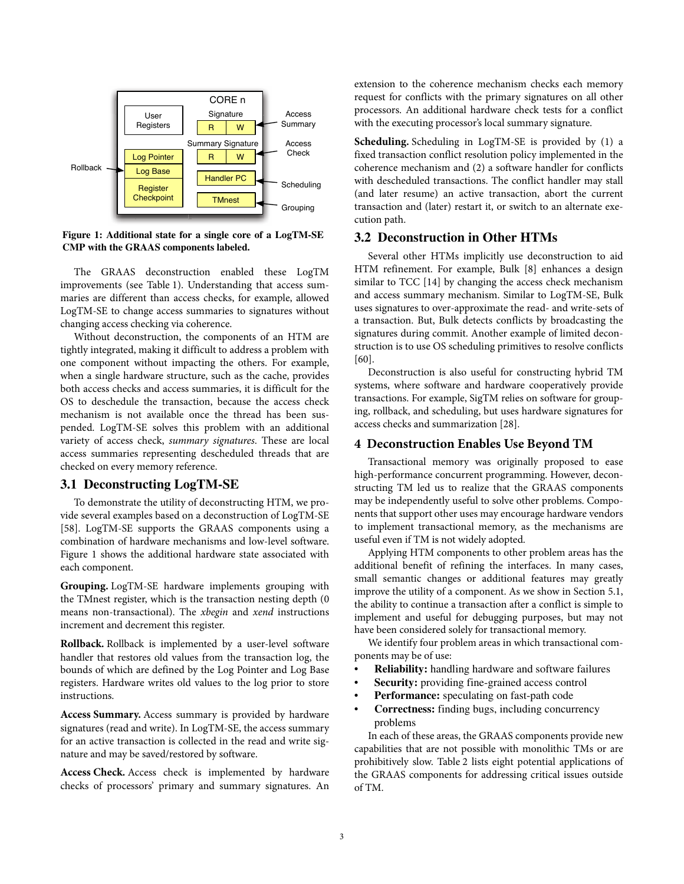

<span id="page-2-1"></span>**Figure 1: Additional state for a single core of a LogTM-SE CMP with the GRAAS components labeled.**

The GRAAS deconstruction enabled these LogTM improvements (see [Table](#page-1-1) 1). Understanding that access summaries are different than access checks, for example, allowed LogTM-SE to change access summaries to signatures without changing access checking via coherence.

Without deconstruction, the components of an HTM are tightly integrated, making it difficult to address a problem with one component without impacting the others. For example, when a single hardware structure, such as the cache, provides both access checks and access summaries, it is difficult for the OS to deschedule the transaction, because the access check mechanism is not available once the thread has been suspended. LogTM-SE solves this problem with an additional variety of access check, *summary signatures*. These are local access summaries representing descheduled threads that are checked on every memory reference.

# **3.1 Deconstructing LogTM-SE**

To demonstrate the utility of deconstructing HTM, we provide several examples based on a deconstruction of LogTM-SE [58] . LogTM-SE supports the GRAAS components using a combination of hardware mechanisms and low-level software. [Figure 1](#page-2-1) shows the additional hardware state associated with each component.

**Grouping.** LogTM-SE hardware implements grouping with the TMnest register, which is the transaction nesting depth (0 means non-transactional). The *xbegin* and *xend* instructions increment and decrement this register.

**Rollback.** Rollback is implemented by a user-level software handler that restores old values from the transaction log, the bounds of which are defined by the Log Pointer and Log Base registers. Hardware writes old values to the log prior to store instructions.

**Access Summary.** Access summary is provided by hardware signatures (read and write). In LogTM-SE, the access summary for an active transaction is collected in the read and write signature and may be saved/restored by software.

**Access Check.** Access check is implemented by hardware checks of processors' primary and summary signatures. An extension to the coherence mechanism checks each memory request for conflicts with the primary signatures on all other processors. An additional hardware check tests for a conflict with the executing processor's local summary signature.

**Scheduling.** Scheduling in LogTM-SE is provided by (1) a fixed transaction conflict resolution policy implemented in the coherence mechanism and (2) a software handler for conflicts with descheduled transactions. The conflict handler may stall (and later resume) an active transaction, abort the current transaction and (later) restart it, or switch to an alternate execution path.

# **3.2 Deconstruction in Other HTMs**

Several other HTMs implicitly use deconstruction to aid HTM refinement. For example, Bulk [8] enhances a design similar to TCC [14] by changing the access check mechanism and access summary mechanism. Similar to LogTM-SE, Bulk uses signatures to over-approximate the read- and write-sets of a transaction. But, Bulk detects conflicts by broadcasting the signatures during commit. Another example of limited deconstruction is to use OS scheduling primitives to resolve conflicts [60].

Deconstruction is also useful for constructing hybrid TM systems, where software and hardware cooperatively provide transactions. For example, SigTM relies on software for grouping, rollback, and scheduling, but uses hardware signatures for access checks and summarization [28].

#### <span id="page-2-0"></span>**4 Deconstruction Enables Use Beyond TM**

Transactional memory was originally proposed to ease high-performance concurrent programming. However, deconstructing TM led us to realize that the GRAAS components may be independently useful to solve other problems. Components that support other uses may encourage hardware vendors to implement transactional memory, as the mechanisms are useful even if TM is not widely adopted.

Applying HTM components to other problem areas has the additional benefit of refining the interfaces. In many cases, small semantic changes or additional features may greatly improve the utility of a component. As we show in [Section 5.1,](#page-4-0) the ability to continue a transaction after a conflict is simple to implement and useful for debugging purposes, but may not have been considered solely for transactional memory.

We identify four problem areas in which transactional components may be of use:

- **Reliability:** handling hardware and software failures
- **Security:** providing fine-grained access control
- Performance: speculating on fast-path code
- **Correctness:** finding bugs, including concurrency problems

In each of these areas, the GRAAS components provide new capabilities that are not possible with monolithic TMs or are prohibitively slow. [Table](#page-3-0) 2 lists eight potential applications of the GRAAS components for addressing critical issues outside of TM.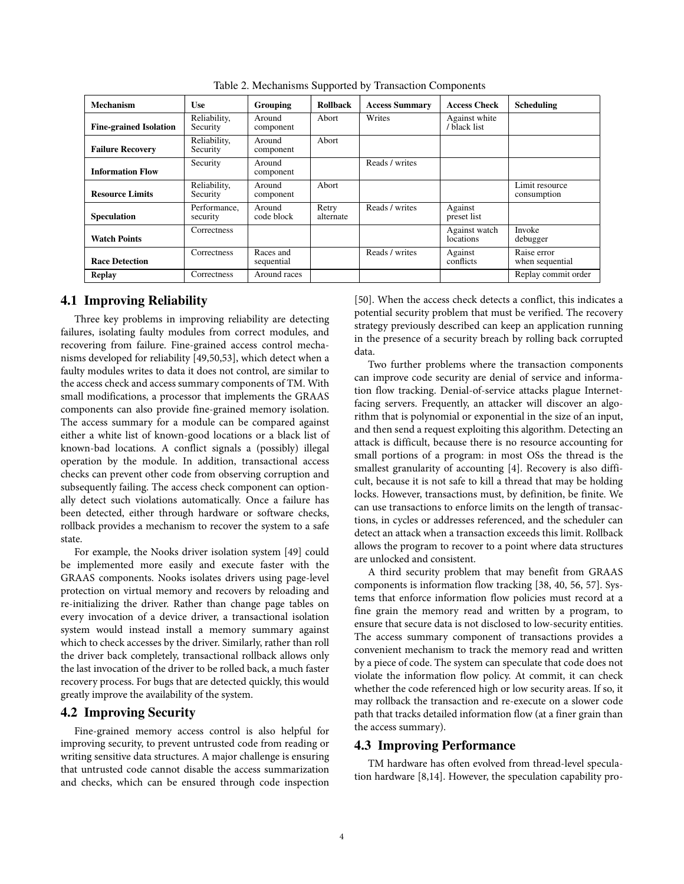<span id="page-3-0"></span>

| <b>Mechanism</b>              | <b>Use</b>               | Grouping                | <b>Rollback</b>    | <b>Access Summary</b> | <b>Access Check</b>           | <b>Scheduling</b>              |
|-------------------------------|--------------------------|-------------------------|--------------------|-----------------------|-------------------------------|--------------------------------|
| <b>Fine-grained Isolation</b> | Reliability,<br>Security | Around<br>component     | Abort              | Writes                | Against white<br>/ black list |                                |
| <b>Failure Recovery</b>       | Reliability,<br>Security | Around<br>component     | Abort              |                       |                               |                                |
| <b>Information Flow</b>       | Security                 | Around<br>component     |                    | Reads / writes        |                               |                                |
| <b>Resource Limits</b>        | Reliability,<br>Security | Around<br>component     | Abort              |                       |                               | Limit resource<br>consumption  |
| <b>Speculation</b>            | Performance.<br>security | Around<br>code block    | Retry<br>alternate | Reads / writes        | Against<br>preset list        |                                |
| <b>Watch Points</b>           | Correctness              |                         |                    |                       | Against watch<br>locations    | Invoke<br>debugger             |
| <b>Race Detection</b>         | Correctness              | Races and<br>sequential |                    | Reads / writes        | Against<br>conflicts          | Raise error<br>when sequential |
| Replay                        | Correctness              | Around races            |                    |                       |                               | Replay commit order            |

Table 2. Mechanisms Supported by Transaction Components

# **4.1 Improving Reliability**

Three key problems in improving reliability are detecting failures, isolating faulty modules from correct modules, and recovering from failure. Fine-grained access control mechanisms developed for reliability [49,50,53], which detect when a faulty modules writes to data it does not control, are similar to the access check and access summary components of TM. With small modifications, a processor that implements the GRAAS components can also provide fine-grained memory isolation. The access summary for a module can be compared against either a white list of known-good locations or a black list of known-bad locations. A conflict signals a (possibly) illegal operation by the module. In addition, transactional access checks can prevent other code from observing corruption and subsequently failing. The access check component can optionally detect such violations automatically. Once a failure has been detected, either through hardware or software checks, rollback provides a mechanism to recover the system to a safe state.

For example, the Nooks driver isolation system [49] could be implemented more easily and execute faster with the GRAAS components. Nooks isolates drivers using page-level protection on virtual memory and recovers by reloading and re-initializing the driver. Rather than change page tables on every invocation of a device driver, a transactional isolation system would instead install a memory summary against which to check accesses by the driver. Similarly, rather than roll the driver back completely, transactional rollback allows only the last invocation of the driver to be rolled back, a much faster recovery process. For bugs that are detected quickly, this would greatly improve the availability of the system.

## **4.2 Improving Security**

Fine-grained memory access control is also helpful for improving security, to prevent untrusted code from reading or writing sensitive data structures. A major challenge is ensuring that untrusted code cannot disable the access summarization and checks, which can be ensured through code inspection

[50]. When the access check detects a conflict, this indicates a potential security problem that must be verified. The recovery strategy previously described can keep an application running in the presence of a security breach by rolling back corrupted data.

Two further problems where the transaction components can improve code security are denial of service and information flow tracking. Denial-of-service attacks plague Internetfacing servers. Frequently, an attacker will discover an algorithm that is polynomial or exponential in the size of an input, and then send a request exploiting this algorithm. Detecting an attack is difficult, because there is no resource accounting for small portions of a program: in most OSs the thread is the smallest granularity of accounting [4]. Recovery is also difficult, because it is not safe to kill a thread that may be holding locks. However, transactions must, by definition, be finite. We can use transactions to enforce limits on the length of transactions, in cycles or addresses referenced, and the scheduler can detect an attack when a transaction exceeds this limit. Rollback allows the program to recover to a point where data structures are unlocked and consistent.

A third security problem that may benefit from GRAAS components is information flow tracking [38, 40, 56, 57]. Systems that enforce information flow policies must record at a fine grain the memory read and written by a program, to ensure that secure data is not disclosed to low-security entities. The access summary component of transactions provides a convenient mechanism to track the memory read and written by a piece of code. The system can speculate that code does not violate the information flow policy. At commit, it can check whether the code referenced high or low security areas. If so, it may rollback the transaction and re-execute on a slower code path that tracks detailed information flow (at a finer grain than the access summary).

# **4.3 Improving Performance**

TM hardware has often evolved from thread-level speculation hardware [8,14]. However, the speculation capability pro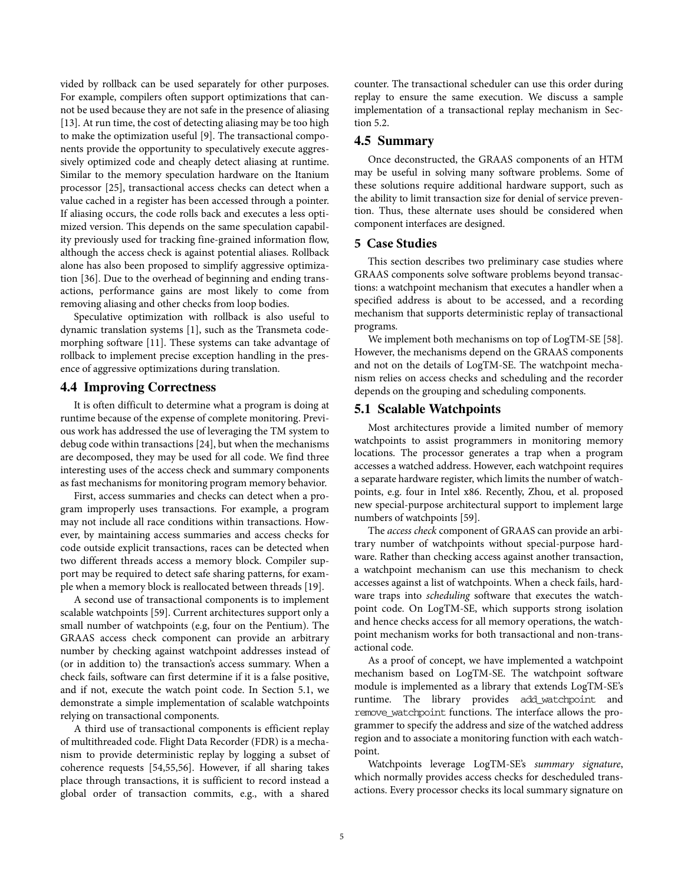vided by rollback can be used separately for other purposes. For example, compilers often support optimizations that cannot be used because they are not safe in the presence of aliasing [13]. At run time, the cost of detecting aliasing may be too high to make the optimization useful [9]. The transactional components provide the opportunity to speculatively execute aggressively optimized code and cheaply detect aliasing at runtime. Similar to the memory speculation hardware on the Itanium processor [25], transactional access checks can detect when a value cached in a register has been accessed through a pointer. If aliasing occurs, the code rolls back and executes a less optimized version. This depends on the same speculation capability previously used for tracking fine-grained information flow, although the access check is against potential aliases. Rollback alone has also been proposed to simplify aggressive optimization [36]. Due to the overhead of beginning and ending transactions, performance gains are most likely to come from removing aliasing and other checks from loop bodies.

Speculative optimization with rollback is also useful to dynamic translation systems [1], such as the Transmeta codemorphing software [11]. These systems can take advantage of rollback to implement precise exception handling in the presence of aggressive optimizations during translation.

# **4.4 Improving Correctness**

It is often difficult to determine what a program is doing at runtime because of the expense of complete monitoring. Previous work has addressed the use of leveraging the TM system to debug code within transactions [24], but when the mechanisms are decomposed, they may be used for all code. We find three interesting uses of the access check and summary components as fast mechanisms for monitoring program memory behavior.

First, access summaries and checks can detect when a program improperly uses transactions. For example, a program may not include all race conditions within transactions. However, by maintaining access summaries and access checks for code outside explicit transactions, races can be detected when two different threads access a memory block. Compiler support may be required to detect safe sharing patterns, for example when a memory block is reallocated between threads [19].

A second use of transactional components is to implement scalable watchpoints [59]. Current architectures support only a small number of watchpoints (e.g, four on the Pentium). The GRAAS access check component can provide an arbitrary number by checking against watchpoint addresses instead of (or in addition to) the transaction's access summary. When a check fails, software can first determine if it is a false positive, and if not, execute the watch point code. In [Section 5.1](#page-4-0), we demonstrate a simple implementation of scalable watchpoints relying on transactional components.

A third use of transactional components is efficient replay of multithreaded code. Flight Data Recorder (FDR) is a mechanism to provide deterministic replay by logging a subset of coherence requests [54,55,56]. However, if all sharing takes place through transactions, it is sufficient to record instead a global order of transaction commits, e.g., with a shared

counter. The transactional scheduler can use this order during replay to ensure the same execution. We discuss a sample implementation of a transactional replay mechanism in [Sec](#page-5-0)[tion 5.2](#page-5-0).

# **4.5 Summary**

Once deconstructed, the GRAAS components of an HTM may be useful in solving many software problems. Some of these solutions require additional hardware support, such as the ability to limit transaction size for denial of service prevention. Thus, these alternate uses should be considered when component interfaces are designed.

#### **5 Case Studies**

This section describes two preliminary case studies where GRAAS components solve software problems beyond transactions: a watchpoint mechanism that executes a handler when a specified address is about to be accessed, and a recording mechanism that supports deterministic replay of transactional programs.

We implement both mechanisms on top of LogTM-SE [58]. However, the mechanisms depend on the GRAAS components and not on the details of LogTM-SE. The watchpoint mechanism relies on access checks and scheduling and the recorder depends on the grouping and scheduling components.

#### <span id="page-4-0"></span>**5.1 Scalable Watchpoints**

Most architectures provide a limited number of memory watchpoints to assist programmers in monitoring memory locations. The processor generates a trap when a program accesses a watched address. However, each watchpoint requires a separate hardware register, which limits the number of watchpoints, e.g. four in Intel x86. Recently, Zhou, et al. proposed new special-purpose architectural support to implement large numbers of watchpoints [59].

The *access check* component of GRAAS can provide an arbitrary number of watchpoints without special-purpose hardware. Rather than checking access against another transaction, a watchpoint mechanism can use this mechanism to check accesses against a list of watchpoints. When a check fails, hardware traps into *scheduling* software that executes the watchpoint code. On LogTM-SE, which supports strong isolation and hence checks access for all memory operations, the watchpoint mechanism works for both transactional and non-transactional code.

As a proof of concept, we have implemented a watchpoint mechanism based on LogTM-SE. The watchpoint software module is implemented as a library that extends LogTM-SE's runtime. The library provides add\_watchpoint and remove\_watchpoint functions. The interface allows the programmer to specify the address and size of the watched address region and to associate a monitoring function with each watchpoint.

Watchpoints leverage LogTM-SE's *summary signature*, which normally provides access checks for descheduled transactions. Every processor checks its local summary signature on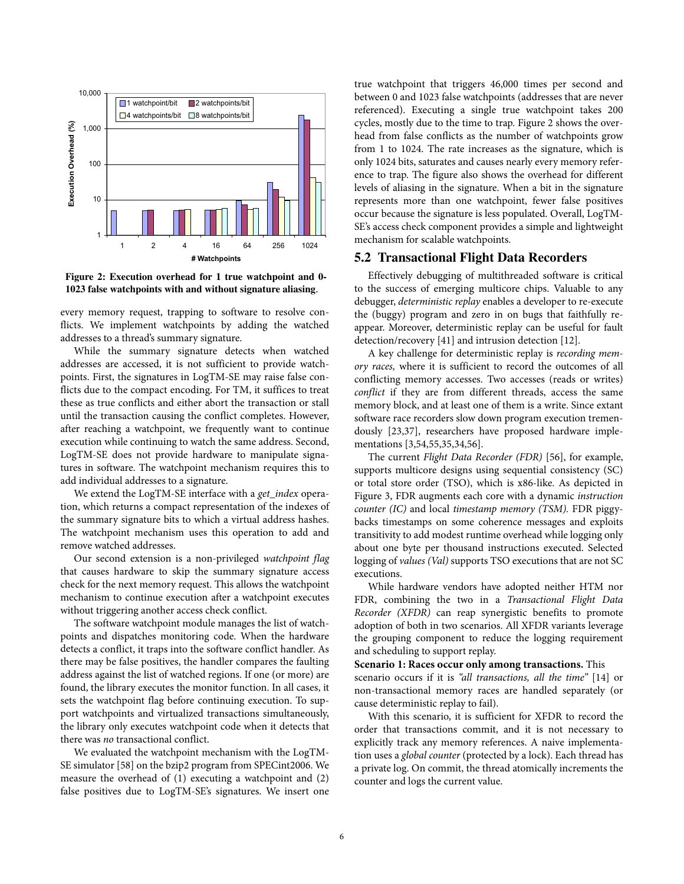

<span id="page-5-1"></span>**Figure 2: Execution overhead for 1 true watchpoint and 0- 1023 false watchpoints with and without signature aliasing**.

every memory request, trapping to software to resolve conflicts. We implement watchpoints by adding the watched addresses to a thread's summary signature.

While the summary signature detects when watched addresses are accessed, it is not sufficient to provide watchpoints. First, the signatures in LogTM-SE may raise false conflicts due to the compact encoding. For TM, it suffices to treat these as true conflicts and either abort the transaction or stall until the transaction causing the conflict completes. However, after reaching a watchpoint, we frequently want to continue execution while continuing to watch the same address. Second, LogTM-SE does not provide hardware to manipulate signatures in software. The watchpoint mechanism requires this to add individual addresses to a signature.

We extend the LogTM-SE interface with a *get\_index* operation, which returns a compact representation of the indexes of the summary signature bits to which a virtual address hashes. The watchpoint mechanism uses this operation to add and remove watched addresses.

Our second extension is a non-privileged *watchpoint flag* that causes hardware to skip the summary signature access check for the next memory request. This allows the watchpoint mechanism to continue execution after a watchpoint executes without triggering another access check conflict.

The software watchpoint module manages the list of watchpoints and dispatches monitoring code. When the hardware detects a conflict, it traps into the software conflict handler. As there may be false positives, the handler compares the faulting address against the list of watched regions. If one (or more) are found, the library executes the monitor function. In all cases, it sets the watchpoint flag before continuing execution. To support watchpoints and virtualized transactions simultaneously, the library only executes watchpoint code when it detects that there was *no* transactional conflict.

We evaluated the watchpoint mechanism with the LogTM-SE simulator [58] on the bzip2 program from SPECint2006. We measure the overhead of (1) executing a watchpoint and (2) false positives due to LogTM-SE's signatures. We insert one

true watchpoint that triggers 46,000 times per second and between 0 and 1023 false watchpoints (addresses that are never referenced). Executing a single true watchpoint takes 200 cycles, mostly due to the time to trap. [Figure 2](#page-5-1) shows the overhead from false conflicts as the number of watchpoints grow from 1 to 1024. The rate increases as the signature, which is only 1024 bits, saturates and causes nearly every memory reference to trap. The figure also shows the overhead for different levels of aliasing in the signature. When a bit in the signature represents more than one watchpoint, fewer false positives occur because the signature is less populated. Overall, LogTM-SE's access check component provides a simple and lightweight mechanism for scalable watchpoints.

# <span id="page-5-0"></span>**5.2 Transactional Flight Data Recorders**

Effectively debugging of multithreaded software is critical to the success of emerging multicore chips. Valuable to any debugger, *deterministic replay* enables a developer to re-execute the (buggy) program and zero in on bugs that faithfully reappear. Moreover, deterministic replay can be useful for fault detection/recovery [41] and intrusion detection [12].

A key challenge for deterministic replay is *recording memory races,* where it is sufficient to record the outcomes of all conflicting memory accesses. Two accesses (reads or writes) *conflict* if they are from different threads, access the same memory block, and at least one of them is a write. Since extant software race recorders slow down program execution tremendously [23,37], researchers have proposed hardware implementations [3,54,55,35,34,56].

The current *Flight Data Recorder (FDR)* [56], for example, supports multicore designs using sequential consistency (SC) or total store order (TSO), which is x86-like. As depicted in [Figure 3](#page-6-0), FDR augments each core with a dynamic *instruction counter (IC)* and local *timestamp memory (TSM).* FDR piggybacks timestamps on some coherence messages and exploits transitivity to add modest runtime overhead while logging only about one byte per thousand instructions executed. Selected logging of *values (Val)* supports TSO executions that are not SC executions.

While hardware vendors have adopted neither HTM nor FDR, combining the two in a *Transactional Flight Data Recorder (XFDR)* can reap synergistic benefits to promote adoption of both in two scenarios. All XFDR variants leverage the grouping component to reduce the logging requirement and scheduling to support replay.

#### **Scenario 1: Races occur only among transactions.** This

scenario occurs if it is *"all transactions, all the time"* [14] or non-transactional memory races are handled separately (or cause deterministic replay to fail).

With this scenario, it is sufficient for XFDR to record the order that transactions commit, and it is not necessary to explicitly track any memory references. A naive implementation uses a *global counter* (protected by a lock). Each thread has a private log. On commit, the thread atomically increments the counter and logs the current value.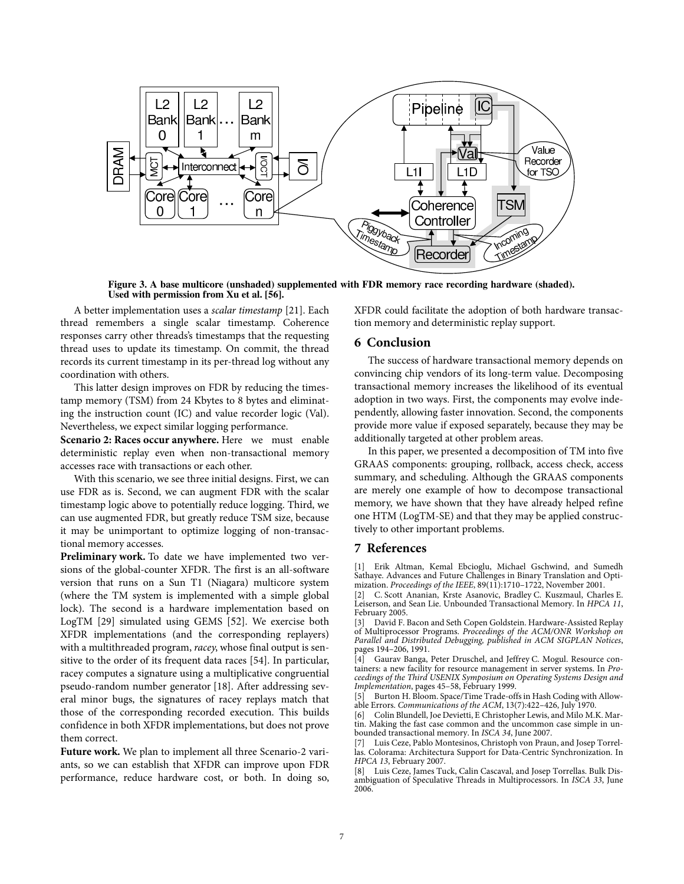

<span id="page-6-0"></span>**Figure 3. A base multicore (unshaded) supplemented with FDR memory race recording hardware (shaded). Used with permission from Xu et al. [56].**

A better implementation uses a *scalar timestamp* [21]. Each thread remembers a single scalar timestamp. Coherence responses carry other threads's timestamps that the requesting thread uses to update its timestamp. On commit, the thread records its current timestamp in its per-thread log without any coordination with others.

This latter design improves on FDR by reducing the timestamp memory (TSM) from 24 Kbytes to 8 bytes and eliminating the instruction count (IC) and value recorder logic (Val). Nevertheless, we expect similar logging performance.

**Scenario 2: Races occur anywhere.** Here we must enable deterministic replay even when non-transactional memory accesses race with transactions or each other.

With this scenario, we see three initial designs. First, we can use FDR as is. Second, we can augment FDR with the scalar timestamp logic above to potentially reduce logging. Third, we can use augmented FDR, but greatly reduce TSM size, because it may be unimportant to optimize logging of non-transactional memory accesses.

**Preliminary work.** To date we have implemented two versions of the global-counter XFDR. The first is an all-software version that runs on a Sun T1 (Niagara) multicore system (where the TM system is implemented with a simple global lock). The second is a hardware implementation based on LogTM [29] simulated using GEMS [52]. We exercise both XFDR implementations (and the corresponding replayers) with a multithreaded program, *racey*, whose final output is sensitive to the order of its frequent data races [54]. In particular, racey computes a signature using a multiplicative congruential pseudo-random number generator [18]. After addressing several minor bugs, the signatures of racey replays match that those of the corresponding recorded execution. This builds confidence in both XFDR implementations, but does not prove them correct.

**Future work.** We plan to implement all three Scenario-2 variants, so we can establish that XFDR can improve upon FDR performance, reduce hardware cost, or both. In doing so,

XFDR could facilitate the adoption of both hardware transaction memory and deterministic replay support.

# **6 Conclusion**

The success of hardware transactional memory depends on convincing chip vendors of its long-term value. Decomposing transactional memory increases the likelihood of its eventual adoption in two ways. First, the components may evolve independently, allowing faster innovation. Second, the components provide more value if exposed separately, because they may be additionally targeted at other problem areas.

In this paper, we presented a decomposition of TM into five GRAAS components: grouping, rollback, access check, access summary, and scheduling. Although the GRAAS components are merely one example of how to decompose transactional memory, we have shown that they have already helped refine one HTM (LogTM-SE) and that they may be applied constructively to other important problems.

#### **7 References**

[1] Erik Altman, Kemal Ebcioglu, Michael Gschwind, and Sumedh Sathaye. Advances and Future Challenges in Binary Translation and Optimization. *Proceedings of the IEEE*, 89(11):1710–1722, November 2001.

[2] C. Scott Ananian, Krste Asanovic, Bradley C. Kuszmaul, Charles E. Leiserson, and Sean Lie. Unbounded Transactional Memory. In *HPCA 11*, February 2005.

[3] David F. Bacon and Seth Copen Goldstein. Hardware-Assisted Replay of Multiprocessor Programs. *Proceedings of the ACM/ONR Workshop on Parallel and Distributed Debugging, published in ACM SIGPLAN Notices*, pages 194–206, 1991.

[4] Gaurav Banga, Peter Druschel, and Jeffrey C. Mogul. Resource containers: a new facility for resource management in server systems. In *Proceedings of the Third USENIX Symposium on Operating Systems Design and Implementation*, pages 45–58, February 1999.

[5] Burton H. Bloom. Space/Time Trade-offs in Hash Coding with Allowable Errors. *Communications of the ACM*, 13(7):422–426, July 1970.

[6] Colin Blundell, Joe Devietti, E Christopher Lewis, and Milo M.K. Martin. Making the fast case common and the uncommon case simple in unbounded transactional memory. In *ISCA 34*, June 2007.

[7] Luis Ceze, Pablo Montesinos, Christoph von Praun, and Josep Torrellas. Colorama: Architectura Support for Data-Centric Synchronization. In *HPCA 13*, February 2007.

Luis Ceze, James Tuck, Calin Cascaval, and Josep Torrellas. Bulk Disambiguation of Speculative Threads in Multiprocessors. In *ISCA 33*, June 2006.